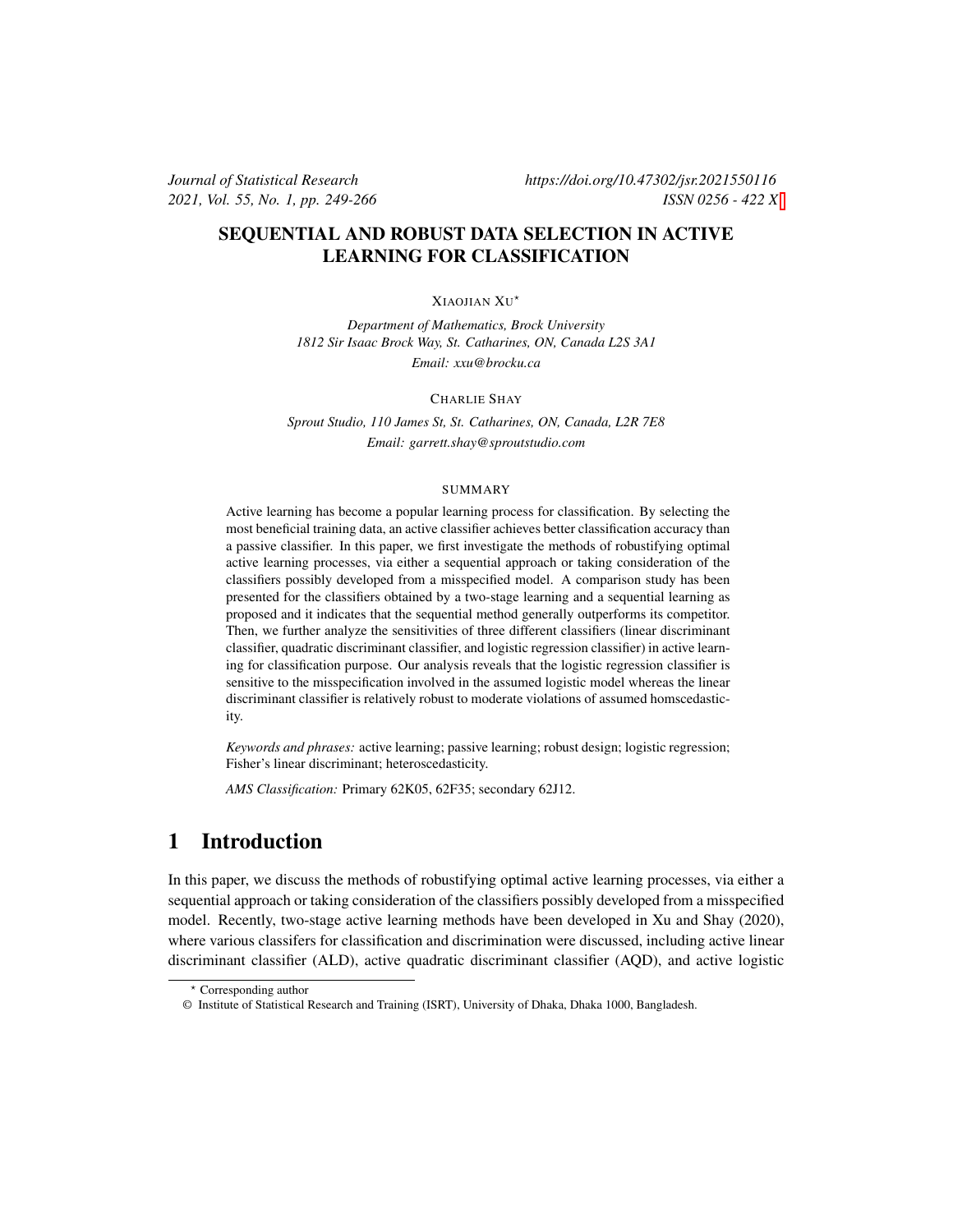## SEQUENTIAL AND ROBUST DATA SELECTION IN ACTIVE LEARNING FOR CLASSIFICATION

#### XIAOJIAN XU ⋆

*Department of Mathematics, Brock University 1812 Sir Isaac Brock Way, St. Catharines, ON, Canada L2S 3A1 Email: xxu@brocku.ca*

#### CHARLIE SHAY

*Sprout Studio, 110 James St, St. Catharines, ON, Canada, L2R 7E8 Email: garrett.shay@sproutstudio.com*

#### SUMMARY

Active learning has become a popular learning process for classification. By selecting the most beneficial training data, an active classifier achieves better classification accuracy than a passive classifier. In this paper, we first investigate the methods of robustifying optimal active learning processes, via either a sequential approach or taking consideration of the classifiers possibly developed from a misspecified model. A comparison study has been presented for the classifiers obtained by a two-stage learning and a sequential learning as proposed and it indicates that the sequential method generally outperforms its competitor. Then, we further analyze the sensitivities of three different classifiers (linear discriminant classifier, quadratic discriminant classifier, and logistic regression classifier) in active learning for classification purpose. Our analysis reveals that the logistic regression classifier is sensitive to the misspecification involved in the assumed logistic model whereas the linear discriminant classifier is relatively robust to moderate violations of assumed homscedasticity.

*Keywords and phrases:* active learning; passive learning; robust design; logistic regression; Fisher's linear discriminant; heteroscedasticity.

*AMS Classification:* Primary 62K05, 62F35; secondary 62J12.

# 1 Introduction

In this paper, we discuss the methods of robustifying optimal active learning processes, via either a sequential approach or taking consideration of the classifiers possibly developed from a misspecified model. Recently, two-stage active learning methods have been developed in Xu and Shay (2020), where various classifers for classification and discrimination were discussed, including active linear discriminant classifier (ALD), active quadratic discriminant classifier (AQD), and active logistic

<sup>⋆</sup> Corresponding author

<sup>©</sup> Institute of Statistical Research and Training (ISRT), University of Dhaka, Dhaka 1000, Bangladesh.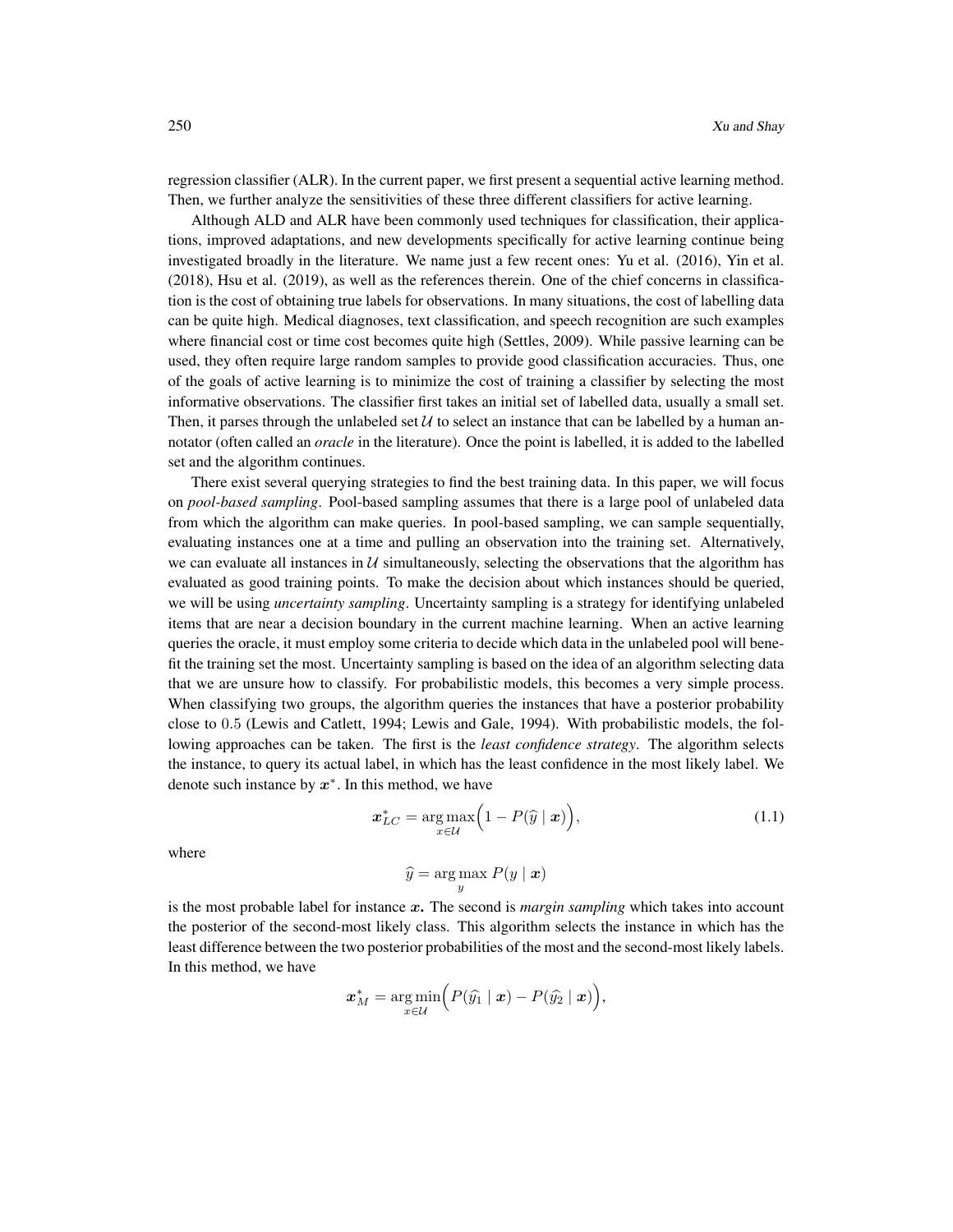regression classifier (ALR). In the current paper, we first present a sequential active learning method. Then, we further analyze the sensitivities of these three different classifiers for active learning.

Although ALD and ALR have been commonly used techniques for classification, their applications, improved adaptations, and new developments specifically for active learning continue being investigated broadly in the literature. We name just a few recent ones: Yu et al. (2016), Yin et al. (2018), Hsu et al. (2019), as well as the references therein. One of the chief concerns in classification is the cost of obtaining true labels for observations. In many situations, the cost of labelling data can be quite high. Medical diagnoses, text classification, and speech recognition are such examples where financial cost or time cost becomes quite high (Settles, 2009). While passive learning can be used, they often require large random samples to provide good classification accuracies. Thus, one of the goals of active learning is to minimize the cost of training a classifier by selecting the most informative observations. The classifier first takes an initial set of labelled data, usually a small set. Then, it parses through the unlabeled set  $U$  to select an instance that can be labelled by a human annotator (often called an *oracle* in the literature). Once the point is labelled, it is added to the labelled set and the algorithm continues.

There exist several querying strategies to find the best training data. In this paper, we will focus on *pool-based sampling*. Pool-based sampling assumes that there is a large pool of unlabeled data from which the algorithm can make queries. In pool-based sampling, we can sample sequentially, evaluating instances one at a time and pulling an observation into the training set. Alternatively, we can evaluate all instances in  $U$  simultaneously, selecting the observations that the algorithm has evaluated as good training points. To make the decision about which instances should be queried, we will be using *uncertainty sampling*. Uncertainty sampling is a strategy for identifying unlabeled items that are near a decision boundary in the current machine learning. When an active learning queries the oracle, it must employ some criteria to decide which data in the unlabeled pool will benefit the training set the most. Uncertainty sampling is based on the idea of an algorithm selecting data that we are unsure how to classify. For probabilistic models, this becomes a very simple process. When classifying two groups, the algorithm queries the instances that have a posterior probability close to 0.5 (Lewis and Catlett, 1994; Lewis and Gale, 1994). With probabilistic models, the following approaches can be taken. The first is the *least confidence strategy*. The algorithm selects the instance, to query its actual label, in which has the least confidence in the most likely label. We denote such instance by  $x^*$ . In this method, we have

<span id="page-1-0"></span>
$$
\boldsymbol{x}_{LC}^* = \underset{\boldsymbol{x} \in \mathcal{U}}{\arg \max} \Big( 1 - P(\widehat{\boldsymbol{y}} \mid \boldsymbol{x}) \Big), \tag{1.1}
$$

where

$$
\widehat{y} = \arg\max_{y} P(y \mid \bm{x})
$$

is the most probable label for instance x. The second is *margin sampling* which takes into account the posterior of the second-most likely class. This algorithm selects the instance in which has the least difference between the two posterior probabilities of the most and the second-most likely labels. In this method, we have

$$
\boldsymbol{x}_{M}^{*} = \underset{x \in \mathcal{U}}{\arg \min }\Big( P(\widehat{y}_{1} \mid \boldsymbol{x}) - P(\widehat{y}_{2} \mid \boldsymbol{x}) \Big),
$$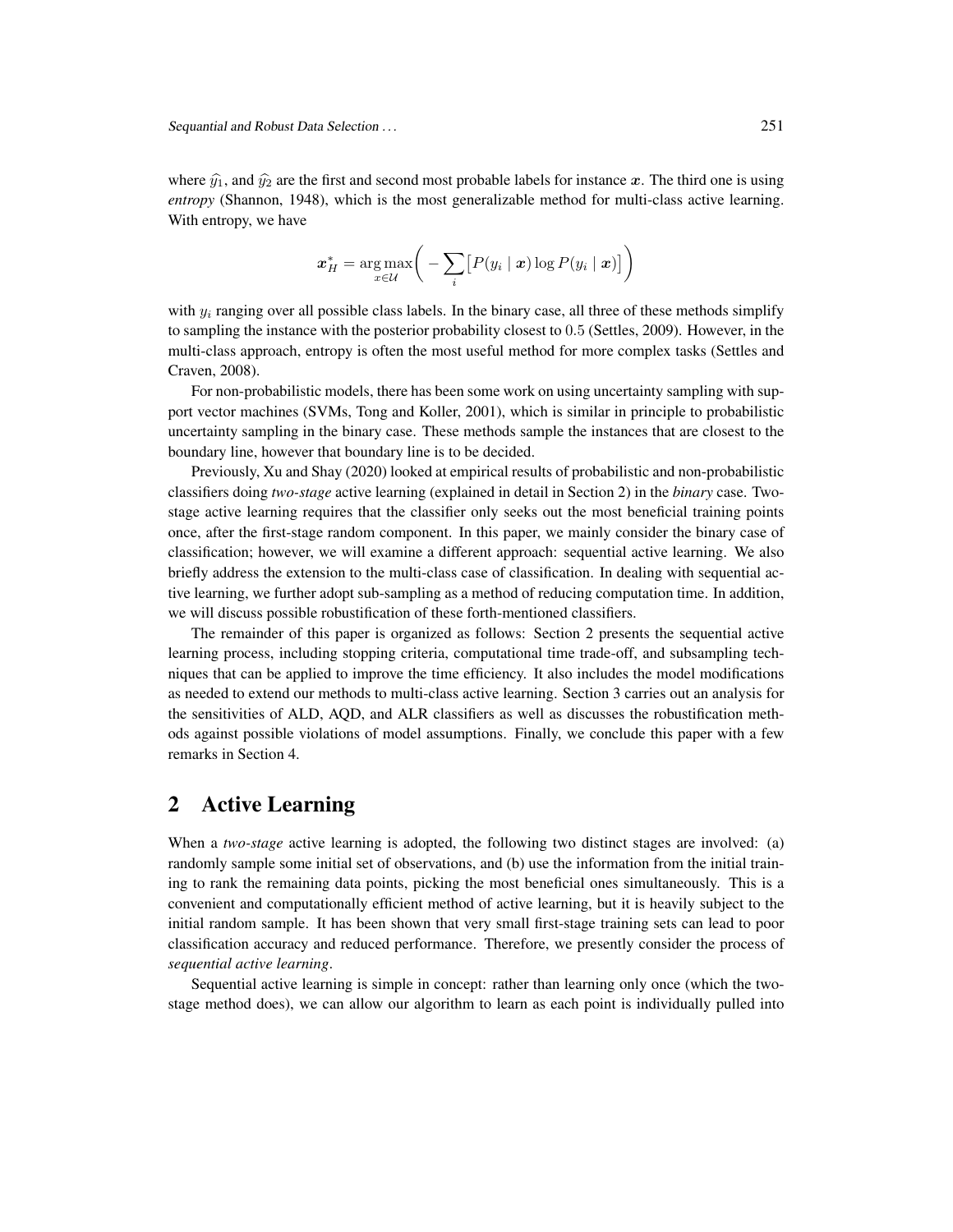where  $\hat{y}_1$ , and  $\hat{y}_2$  are the first and second most probable labels for instance x. The third one is using *entropy* (Shannon, 1948), which is the most generalizable method for multi-class active learning. With entropy, we have

$$
\boldsymbol{x}_H^* = \argmax_{x \in \mathcal{U}} \bigg( - \sum_i \big[ P(y_i \mid \boldsymbol{x}) \log P(y_i \mid \boldsymbol{x}) \big] \bigg)
$$

with  $y_i$  ranging over all possible class labels. In the binary case, all three of these methods simplify to sampling the instance with the posterior probability closest to 0.5 (Settles, 2009). However, in the multi-class approach, entropy is often the most useful method for more complex tasks (Settles and Craven, 2008).

For non-probabilistic models, there has been some work on using uncertainty sampling with support vector machines (SVMs, Tong and Koller, 2001), which is similar in principle to probabilistic uncertainty sampling in the binary case. These methods sample the instances that are closest to the boundary line, however that boundary line is to be decided.

Previously, Xu and Shay (2020) looked at empirical results of probabilistic and non-probabilistic classifiers doing *two-stage* active learning (explained in detail in Section 2) in the *binary* case. Twostage active learning requires that the classifier only seeks out the most beneficial training points once, after the first-stage random component. In this paper, we mainly consider the binary case of classification; however, we will examine a different approach: sequential active learning. We also briefly address the extension to the multi-class case of classification. In dealing with sequential active learning, we further adopt sub-sampling as a method of reducing computation time. In addition, we will discuss possible robustification of these forth-mentioned classifiers.

The remainder of this paper is organized as follows: Section 2 presents the sequential active learning process, including stopping criteria, computational time trade-off, and subsampling techniques that can be applied to improve the time efficiency. It also includes the model modifications as needed to extend our methods to multi-class active learning. Section 3 carries out an analysis for the sensitivities of ALD, AQD, and ALR classifiers as well as discusses the robustification methods against possible violations of model assumptions. Finally, we conclude this paper with a few remarks in Section 4.

### 2 Active Learning

When a *two-stage* active learning is adopted, the following two distinct stages are involved: (a) randomly sample some initial set of observations, and (b) use the information from the initial training to rank the remaining data points, picking the most beneficial ones simultaneously. This is a convenient and computationally efficient method of active learning, but it is heavily subject to the initial random sample. It has been shown that very small first-stage training sets can lead to poor classification accuracy and reduced performance. Therefore, we presently consider the process of *sequential active learning*.

Sequential active learning is simple in concept: rather than learning only once (which the twostage method does), we can allow our algorithm to learn as each point is individually pulled into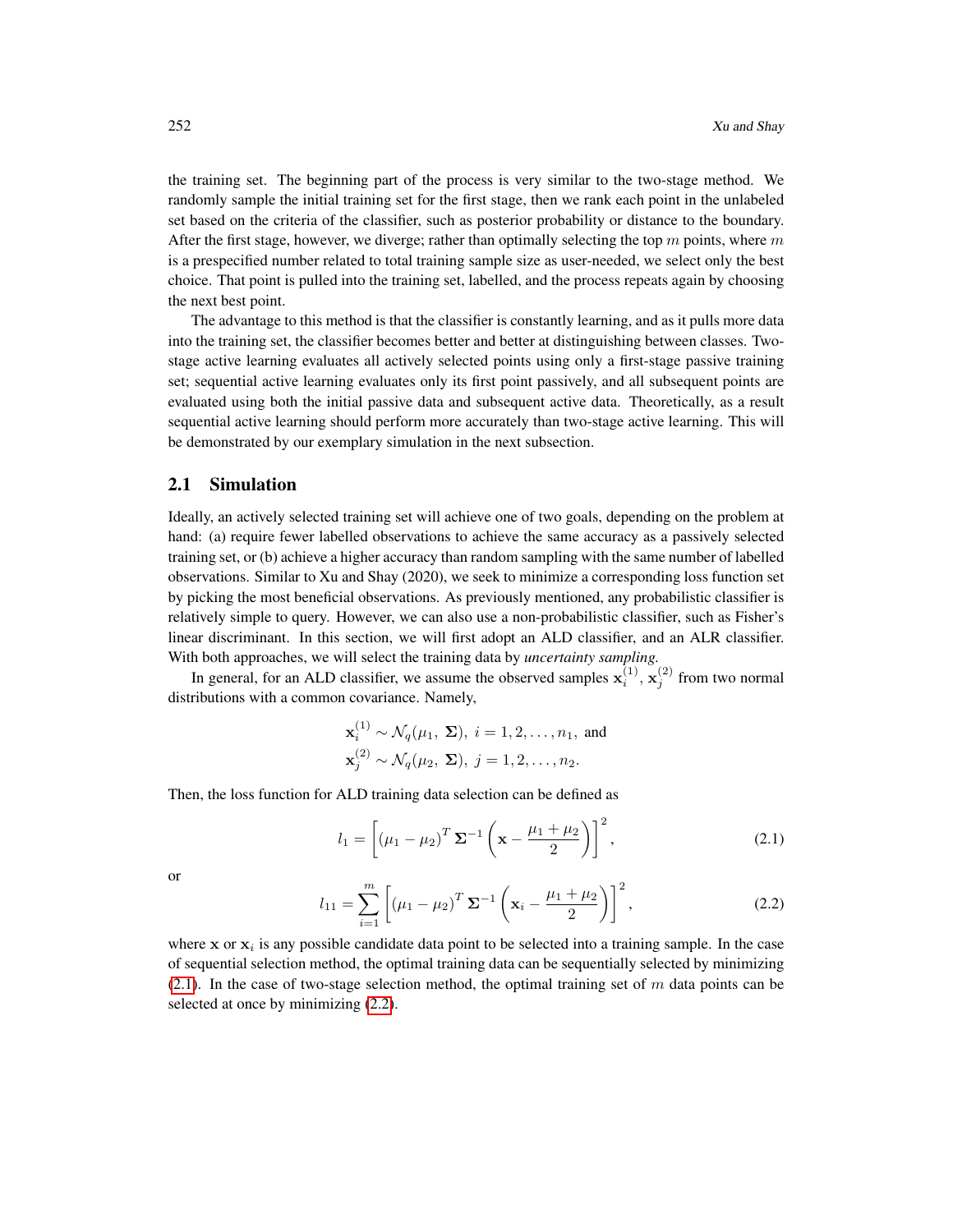the training set. The beginning part of the process is very similar to the two-stage method. We randomly sample the initial training set for the first stage, then we rank each point in the unlabeled set based on the criteria of the classifier, such as posterior probability or distance to the boundary. After the first stage, however, we diverge; rather than optimally selecting the top  $m$  points, where  $m$ is a prespecified number related to total training sample size as user-needed, we select only the best choice. That point is pulled into the training set, labelled, and the process repeats again by choosing the next best point.

The advantage to this method is that the classifier is constantly learning, and as it pulls more data into the training set, the classifier becomes better and better at distinguishing between classes. Twostage active learning evaluates all actively selected points using only a first-stage passive training set; sequential active learning evaluates only its first point passively, and all subsequent points are evaluated using both the initial passive data and subsequent active data. Theoretically, as a result sequential active learning should perform more accurately than two-stage active learning. This will be demonstrated by our exemplary simulation in the next subsection.

#### 2.1 Simulation

Ideally, an actively selected training set will achieve one of two goals, depending on the problem at hand: (a) require fewer labelled observations to achieve the same accuracy as a passively selected training set, or (b) achieve a higher accuracy than random sampling with the same number of labelled observations. Similar to Xu and Shay (2020), we seek to minimize a corresponding loss function set by picking the most beneficial observations. As previously mentioned, any probabilistic classifier is relatively simple to query. However, we can also use a non-probabilistic classifier, such as Fisher's linear discriminant. In this section, we will first adopt an ALD classifier, and an ALR classifier. With both approaches, we will select the training data by *uncertainty sampling.*

In general, for an ALD classifier, we assume the observed samples  $\mathbf{x}_i^{(1)}$ ,  $\mathbf{x}_j^{(2)}$  from two normal distributions with a common covariance. Namely,

$$
\mathbf{x}_i^{(1)} \sim \mathcal{N}_q(\mu_1, \Sigma), i = 1, 2, \dots, n_1, \text{ and}
$$
  

$$
\mathbf{x}_j^{(2)} \sim \mathcal{N}_q(\mu_2, \Sigma), j = 1, 2, \dots, n_2.
$$

Then, the loss function for ALD training data selection can be defined as

<span id="page-3-0"></span>
$$
l_1 = \left[ (\mu_1 - \mu_2)^T \Sigma^{-1} \left( \mathbf{x} - \frac{\mu_1 + \mu_2}{2} \right) \right]^2, \tag{2.1}
$$

or

<span id="page-3-1"></span>
$$
l_{11} = \sum_{i=1}^{m} \left[ (\mu_1 - \mu_2)^T \Sigma^{-1} \left( \mathbf{x}_i - \frac{\mu_1 + \mu_2}{2} \right) \right]^2, \tag{2.2}
$$

where  $x$  or  $x_i$  is any possible candidate data point to be selected into a training sample. In the case of sequential selection method, the optimal training data can be sequentially selected by minimizing [\(2.1\)](#page-3-0). In the case of two-stage selection method, the optimal training set of  $m$  data points can be selected at once by minimizing [\(2.2\)](#page-3-1).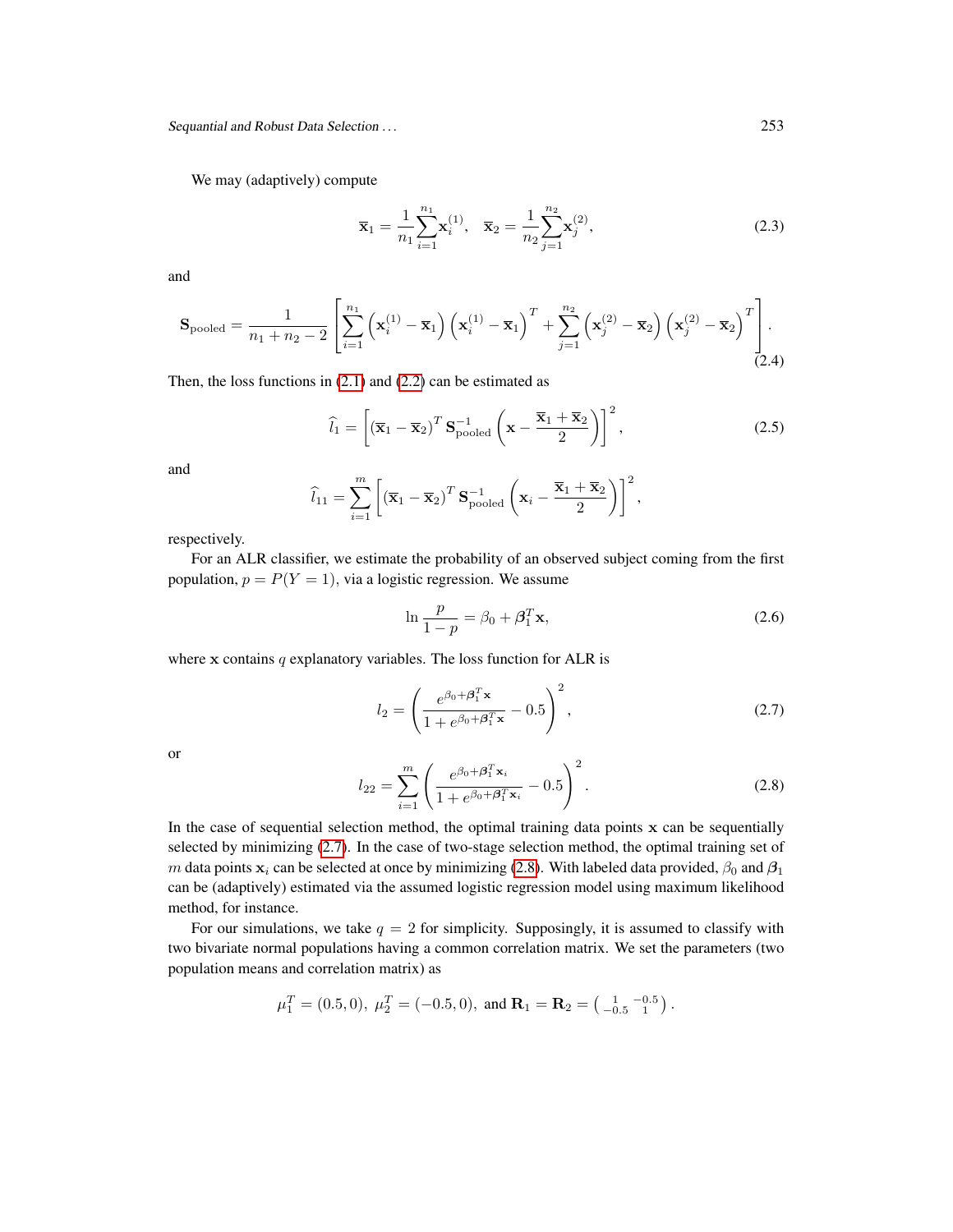Sequantial and Robust Data Selection . . . 253

We may (adaptively) compute

<span id="page-4-3"></span>
$$
\overline{\mathbf{x}}_1 = \frac{1}{n_1} \sum_{i=1}^{n_1} \mathbf{x}_i^{(1)}, \quad \overline{\mathbf{x}}_2 = \frac{1}{n_2} \sum_{j=1}^{n_2} \mathbf{x}_j^{(2)},
$$
\n(2.3)

and

$$
\mathbf{S}_{\text{pooled}} = \frac{1}{n_1 + n_2 - 2} \left[ \sum_{i=1}^{n_1} \left( \mathbf{x}_i^{(1)} - \overline{\mathbf{x}}_1 \right) \left( \mathbf{x}_i^{(1)} - \overline{\mathbf{x}}_1 \right)^T + \sum_{j=1}^{n_2} \left( \mathbf{x}_j^{(2)} - \overline{\mathbf{x}}_2 \right) \left( \mathbf{x}_j^{(2)} - \overline{\mathbf{x}}_2 \right)^T \right].
$$
\n(2.4)

Then, the loss functions in  $(2.1)$  and  $(2.2)$  can be estimated as

<span id="page-4-2"></span>
$$
\widehat{l}_1 = \left[ \left( \overline{\mathbf{x}}_1 - \overline{\mathbf{x}}_2 \right)^T \mathbf{S}_{\text{pooled}}^{-1} \left( \mathbf{x} - \frac{\overline{\mathbf{x}}_1 + \overline{\mathbf{x}}_2}{2} \right) \right]^2, \tag{2.5}
$$

and

$$
\widehat{l}_{11} = \sum_{i=1}^{m} \left[ \left( \overline{\mathbf{x}}_1 - \overline{\mathbf{x}}_2 \right)^T \mathbf{S}_{\text{pooled}}^{-1} \left( \mathbf{x}_i - \frac{\overline{\mathbf{x}}_1 + \overline{\mathbf{x}}_2}{2} \right) \right]^2,
$$

respectively.

For an ALR classifier, we estimate the probability of an observed subject coming from the first population,  $p = P(Y = 1)$ , via a logistic regression. We assume

<span id="page-4-4"></span>
$$
\ln \frac{p}{1-p} = \beta_0 + \beta_1^T \mathbf{x},\tag{2.6}
$$

where  $x$  contains  $q$  explanatory variables. The loss function for ALR is

<span id="page-4-0"></span>
$$
l_2 = \left(\frac{e^{\beta_0 + \beta_1^T \mathbf{x}}}{1 + e^{\beta_0 + \beta_1^T \mathbf{x}}} - 0.5\right)^2,
$$
\n(2.7)

or

<span id="page-4-1"></span>
$$
l_{22} = \sum_{i=1}^{m} \left( \frac{e^{\beta_0 + \beta_1^T \mathbf{x}_i}}{1 + e^{\beta_0 + \beta_1^T \mathbf{x}_i}} - 0.5 \right)^2.
$$
 (2.8)

In the case of sequential selection method, the optimal training data points  $x$  can be sequentially selected by minimizing [\(2.7\)](#page-4-0). In the case of two-stage selection method, the optimal training set of m data points  $x_i$  can be selected at once by minimizing [\(2.8\)](#page-4-1). With labeled data provided,  $\beta_0$  and  $\beta_1$ can be (adaptively) estimated via the assumed logistic regression model using maximum likelihood method, for instance.

For our simulations, we take  $q = 2$  for simplicity. Supposingly, it is assumed to classify with two bivariate normal populations having a common correlation matrix. We set the parameters (two population means and correlation matrix) as

$$
\mu_1^T = (0.5, 0), \ \mu_2^T = (-0.5, 0), \text{ and } \mathbf{R}_1 = \mathbf{R}_2 = \begin{pmatrix} 1 & -0.5 \\ -0.5 & 1 \end{pmatrix}.
$$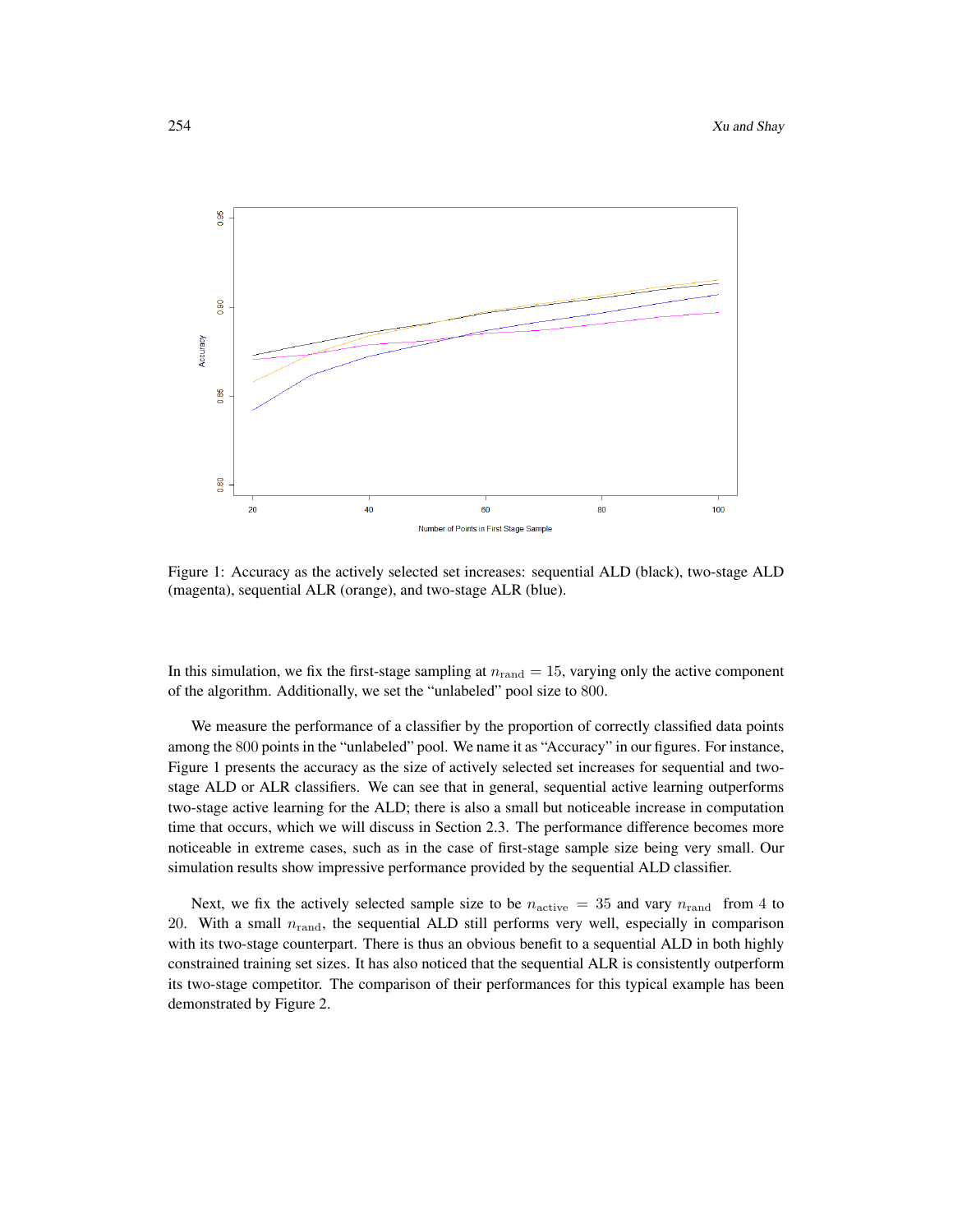

Figure 1: Accuracy as the actively selected set increases: sequential ALD (black), two-stage ALD (magenta), sequential ALR (orange), and two-stage ALR (blue).

In this simulation, we fix the first-stage sampling at  $n_{\text{rand}} = 15$ , varying only the active component of the algorithm. Additionally, we set the "unlabeled" pool size to 800.

We measure the performance of a classifier by the proportion of correctly classified data points among the 800 points in the "unlabeled" pool. We name it as "Accuracy" in our figures. For instance, Figure 1 presents the accuracy as the size of actively selected set increases for sequential and twostage ALD or ALR classifiers. We can see that in general, sequential active learning outperforms two-stage active learning for the ALD; there is also a small but noticeable increase in computation time that occurs, which we will discuss in Section 2.3. The performance difference becomes more noticeable in extreme cases, such as in the case of first-stage sample size being very small. Our simulation results show impressive performance provided by the sequential ALD classifier.

Next, we fix the actively selected sample size to be  $n_{\text{active}} = 35$  and vary  $n_{\text{rand}}$  from 4 to 20. With a small  $n<sub>rand</sub>$ , the sequential ALD still performs very well, especially in comparison with its two-stage counterpart. There is thus an obvious benefit to a sequential ALD in both highly constrained training set sizes. It has also noticed that the sequential ALR is consistently outperform its two-stage competitor. The comparison of their performances for this typical example has been demonstrated by Figure 2.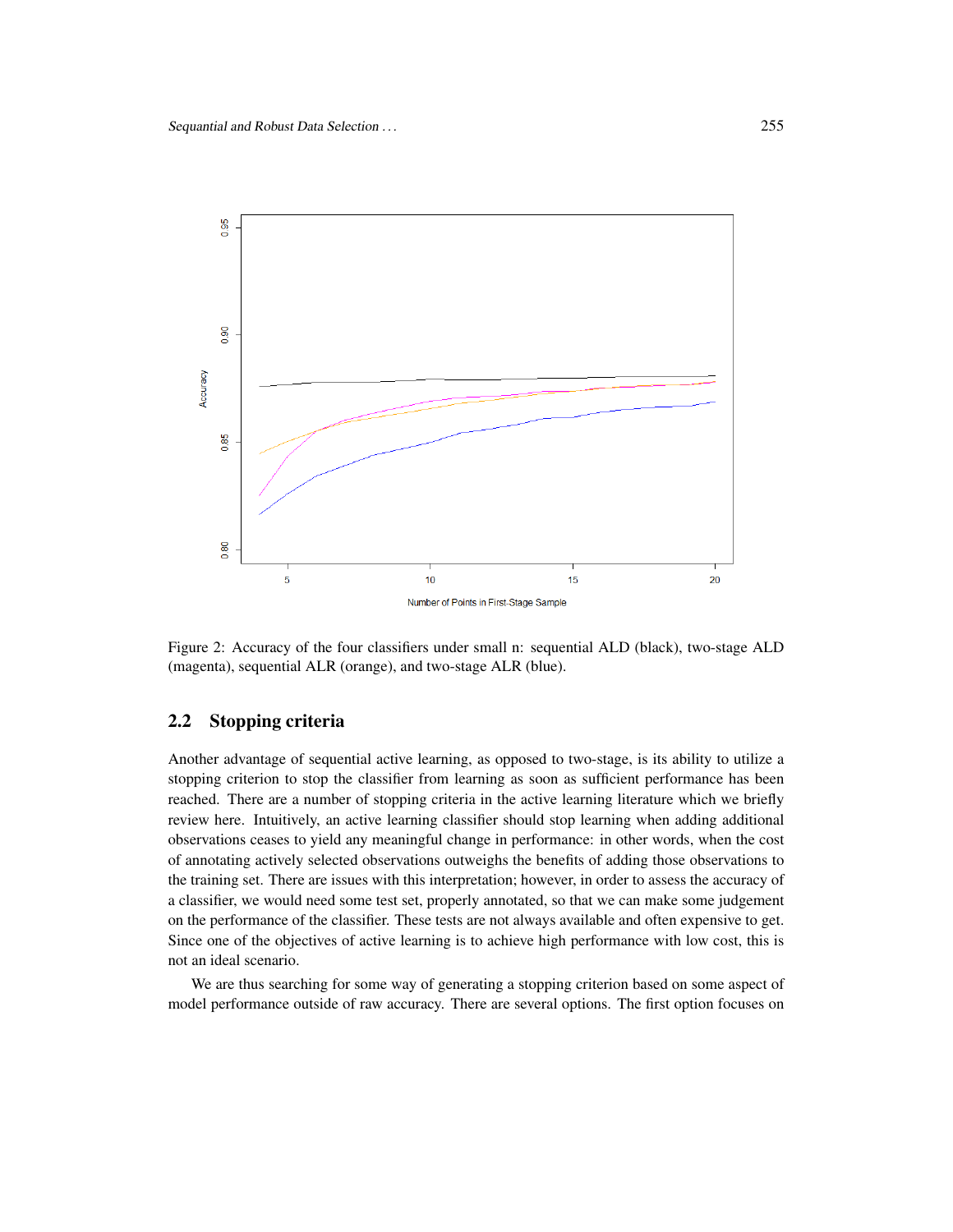

Figure 2: Accuracy of the four classifiers under small n: sequential ALD (black), two-stage ALD (magenta), sequential ALR (orange), and two-stage ALR (blue).

### 2.2 Stopping criteria

Another advantage of sequential active learning, as opposed to two-stage, is its ability to utilize a stopping criterion to stop the classifier from learning as soon as sufficient performance has been reached. There are a number of stopping criteria in the active learning literature which we briefly review here. Intuitively, an active learning classifier should stop learning when adding additional observations ceases to yield any meaningful change in performance: in other words, when the cost of annotating actively selected observations outweighs the benefits of adding those observations to the training set. There are issues with this interpretation; however, in order to assess the accuracy of a classifier, we would need some test set, properly annotated, so that we can make some judgement on the performance of the classifier. These tests are not always available and often expensive to get. Since one of the objectives of active learning is to achieve high performance with low cost, this is not an ideal scenario.

We are thus searching for some way of generating a stopping criterion based on some aspect of model performance outside of raw accuracy. There are several options. The first option focuses on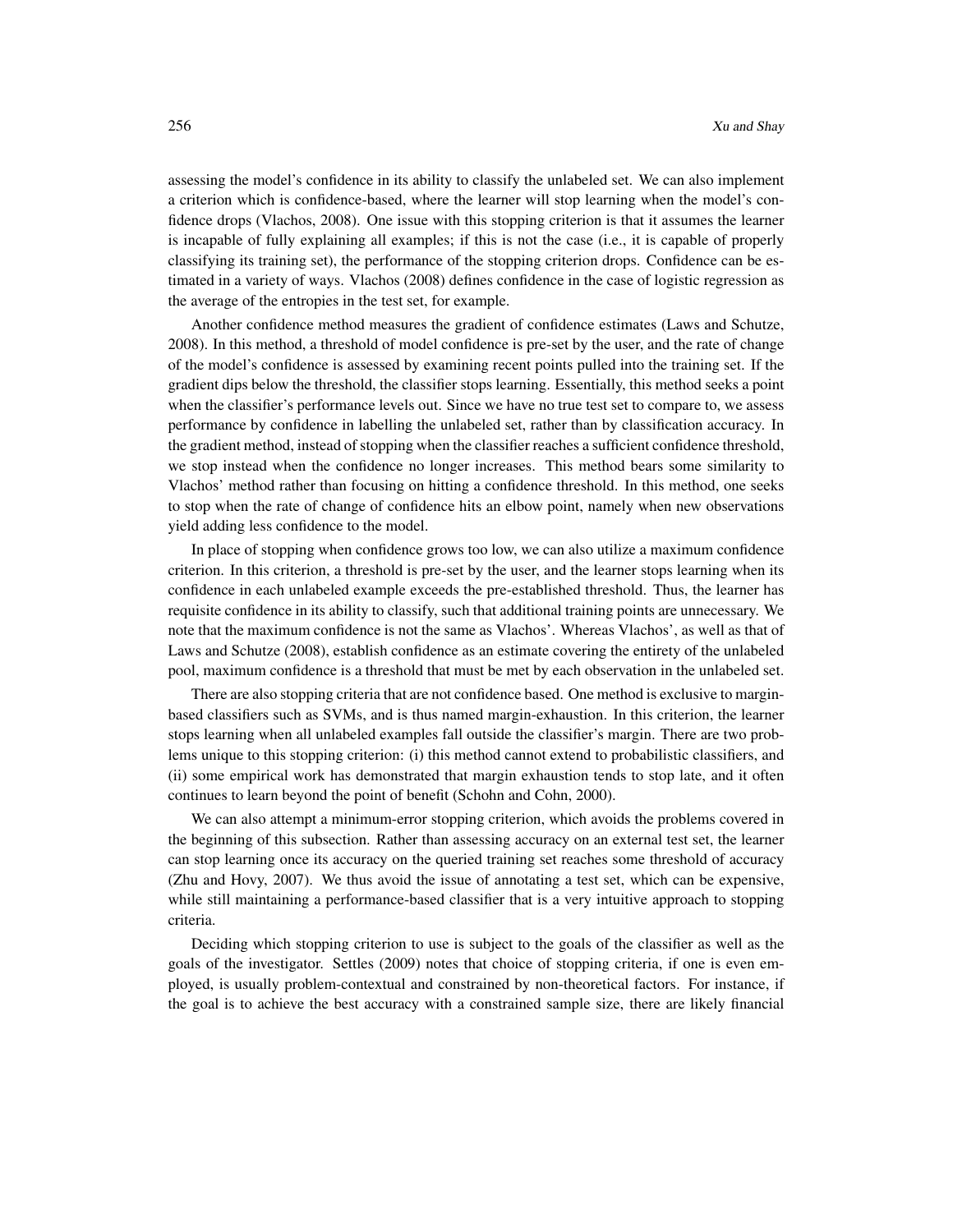assessing the model's confidence in its ability to classify the unlabeled set. We can also implement a criterion which is confidence-based, where the learner will stop learning when the model's confidence drops (Vlachos, 2008). One issue with this stopping criterion is that it assumes the learner is incapable of fully explaining all examples; if this is not the case (i.e., it is capable of properly classifying its training set), the performance of the stopping criterion drops. Confidence can be estimated in a variety of ways. Vlachos (2008) defines confidence in the case of logistic regression as the average of the entropies in the test set, for example.

Another confidence method measures the gradient of confidence estimates (Laws and Schutze, 2008). In this method, a threshold of model confidence is pre-set by the user, and the rate of change of the model's confidence is assessed by examining recent points pulled into the training set. If the gradient dips below the threshold, the classifier stops learning. Essentially, this method seeks a point when the classifier's performance levels out. Since we have no true test set to compare to, we assess performance by confidence in labelling the unlabeled set, rather than by classification accuracy. In the gradient method, instead of stopping when the classifier reaches a sufficient confidence threshold, we stop instead when the confidence no longer increases. This method bears some similarity to Vlachos' method rather than focusing on hitting a confidence threshold. In this method, one seeks to stop when the rate of change of confidence hits an elbow point, namely when new observations yield adding less confidence to the model.

In place of stopping when confidence grows too low, we can also utilize a maximum confidence criterion. In this criterion, a threshold is pre-set by the user, and the learner stops learning when its confidence in each unlabeled example exceeds the pre-established threshold. Thus, the learner has requisite confidence in its ability to classify, such that additional training points are unnecessary. We note that the maximum confidence is not the same as Vlachos'. Whereas Vlachos', as well as that of Laws and Schutze (2008), establish confidence as an estimate covering the entirety of the unlabeled pool, maximum confidence is a threshold that must be met by each observation in the unlabeled set.

There are also stopping criteria that are not confidence based. One method is exclusive to marginbased classifiers such as SVMs, and is thus named margin-exhaustion. In this criterion, the learner stops learning when all unlabeled examples fall outside the classifier's margin. There are two problems unique to this stopping criterion: (i) this method cannot extend to probabilistic classifiers, and (ii) some empirical work has demonstrated that margin exhaustion tends to stop late, and it often continues to learn beyond the point of benefit (Schohn and Cohn, 2000).

We can also attempt a minimum-error stopping criterion, which avoids the problems covered in the beginning of this subsection. Rather than assessing accuracy on an external test set, the learner can stop learning once its accuracy on the queried training set reaches some threshold of accuracy (Zhu and Hovy, 2007). We thus avoid the issue of annotating a test set, which can be expensive, while still maintaining a performance-based classifier that is a very intuitive approach to stopping criteria.

Deciding which stopping criterion to use is subject to the goals of the classifier as well as the goals of the investigator. Settles (2009) notes that choice of stopping criteria, if one is even employed, is usually problem-contextual and constrained by non-theoretical factors. For instance, if the goal is to achieve the best accuracy with a constrained sample size, there are likely financial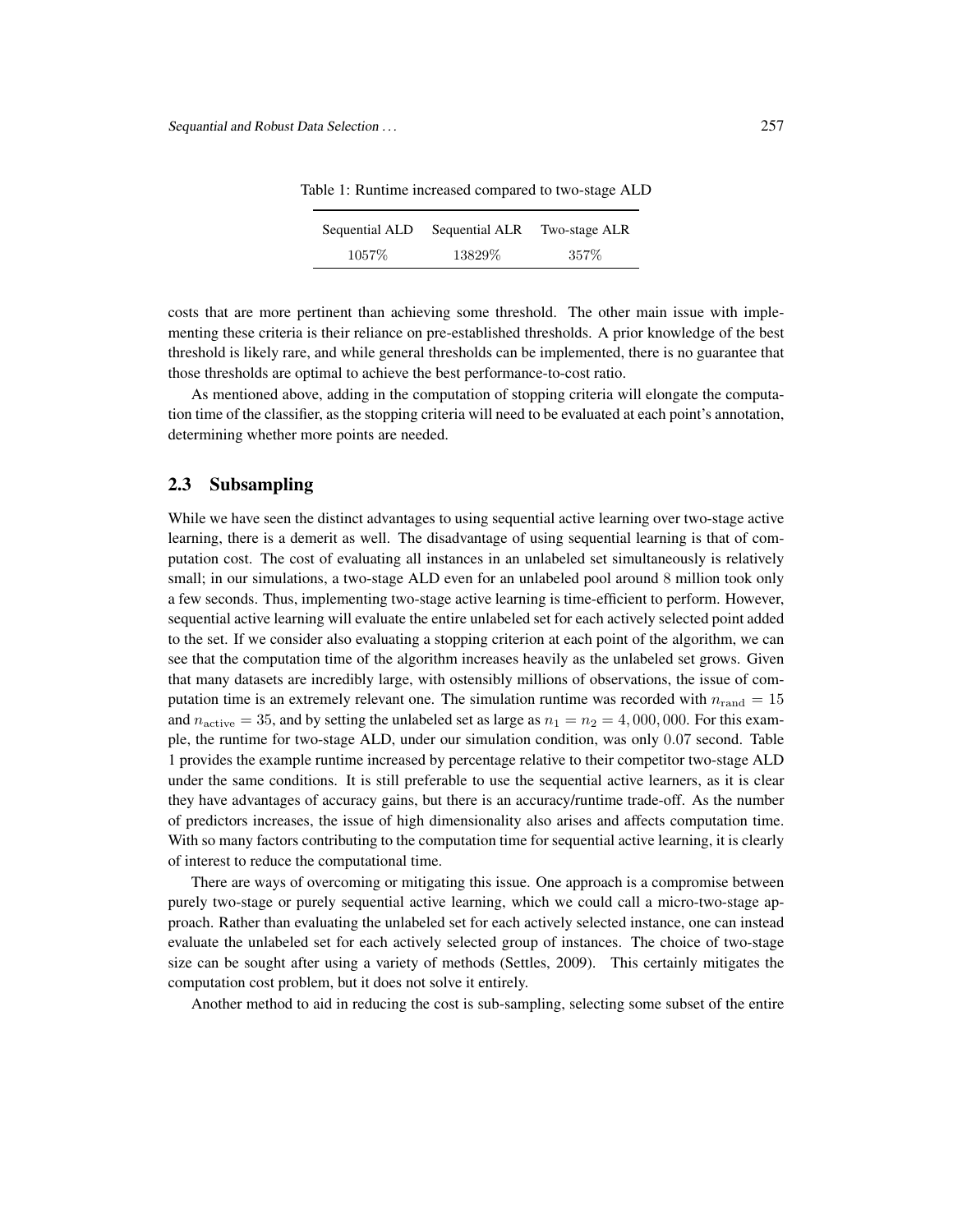| Sequential ALD | Sequential ALR | Two-stage ALR |
|----------------|----------------|---------------|
| $1057\%$       | 13829\%        | 357%          |

Table 1: Runtime increased compared to two-stage ALD

costs that are more pertinent than achieving some threshold. The other main issue with implementing these criteria is their reliance on pre-established thresholds. A prior knowledge of the best threshold is likely rare, and while general thresholds can be implemented, there is no guarantee that those thresholds are optimal to achieve the best performance-to-cost ratio.

As mentioned above, adding in the computation of stopping criteria will elongate the computation time of the classifier, as the stopping criteria will need to be evaluated at each point's annotation, determining whether more points are needed.

#### 2.3 Subsampling

While we have seen the distinct advantages to using sequential active learning over two-stage active learning, there is a demerit as well. The disadvantage of using sequential learning is that of computation cost. The cost of evaluating all instances in an unlabeled set simultaneously is relatively small; in our simulations, a two-stage ALD even for an unlabeled pool around 8 million took only a few seconds. Thus, implementing two-stage active learning is time-efficient to perform. However, sequential active learning will evaluate the entire unlabeled set for each actively selected point added to the set. If we consider also evaluating a stopping criterion at each point of the algorithm, we can see that the computation time of the algorithm increases heavily as the unlabeled set grows. Given that many datasets are incredibly large, with ostensibly millions of observations, the issue of computation time is an extremely relevant one. The simulation runtime was recorded with  $n_{\text{rand}} = 15$ and  $n_{\text{active}} = 35$ , and by setting the unlabeled set as large as  $n_1 = n_2 = 4,000,000$ . For this example, the runtime for two-stage ALD, under our simulation condition, was only 0.07 second. Table 1 provides the example runtime increased by percentage relative to their competitor two-stage ALD under the same conditions. It is still preferable to use the sequential active learners, as it is clear they have advantages of accuracy gains, but there is an accuracy/runtime trade-off. As the number of predictors increases, the issue of high dimensionality also arises and affects computation time. With so many factors contributing to the computation time for sequential active learning, it is clearly of interest to reduce the computational time.

There are ways of overcoming or mitigating this issue. One approach is a compromise between purely two-stage or purely sequential active learning, which we could call a micro-two-stage approach. Rather than evaluating the unlabeled set for each actively selected instance, one can instead evaluate the unlabeled set for each actively selected group of instances. The choice of two-stage size can be sought after using a variety of methods (Settles, 2009). This certainly mitigates the computation cost problem, but it does not solve it entirely.

Another method to aid in reducing the cost is sub-sampling, selecting some subset of the entire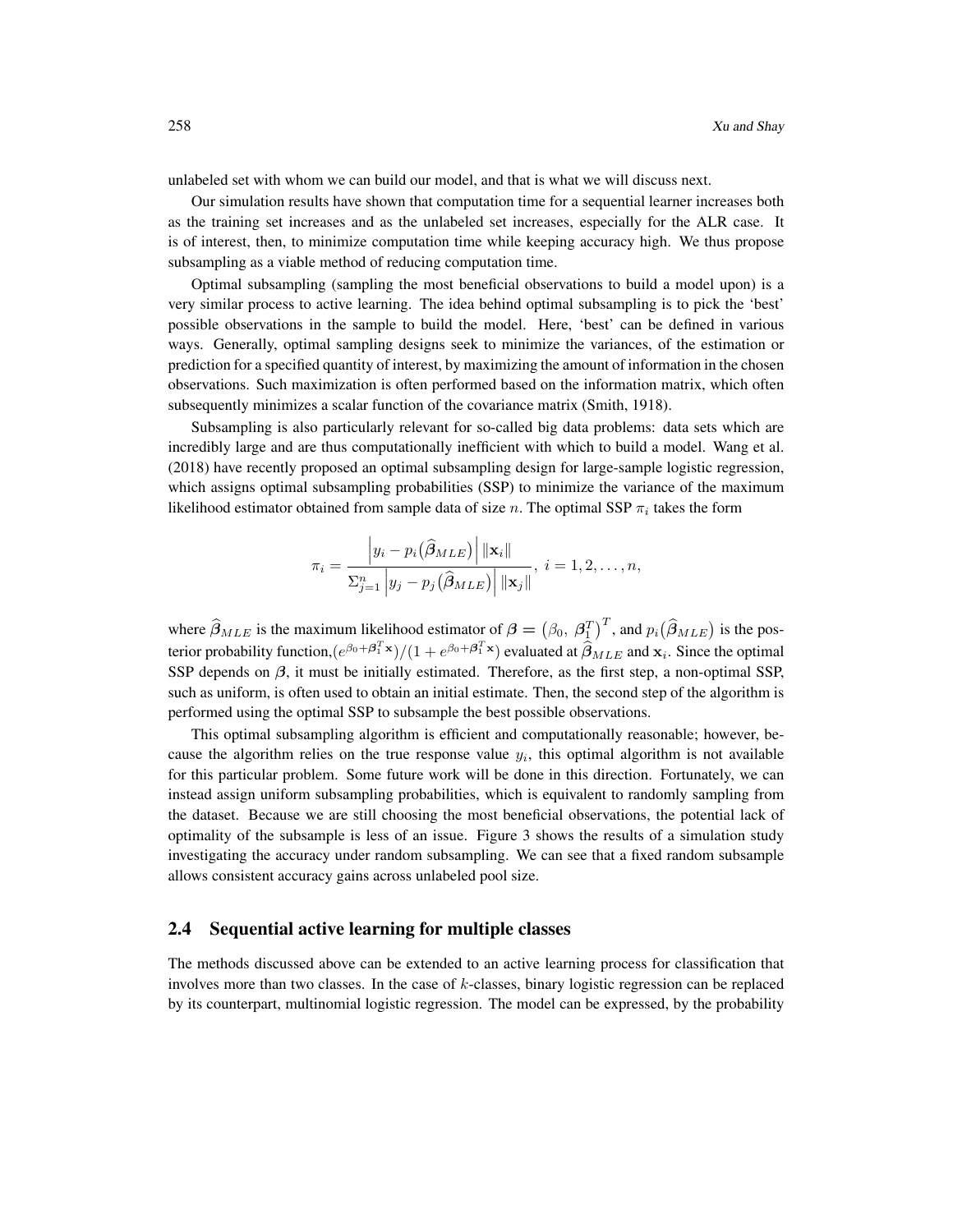unlabeled set with whom we can build our model, and that is what we will discuss next.

Our simulation results have shown that computation time for a sequential learner increases both as the training set increases and as the unlabeled set increases, especially for the ALR case. It is of interest, then, to minimize computation time while keeping accuracy high. We thus propose subsampling as a viable method of reducing computation time.

Optimal subsampling (sampling the most beneficial observations to build a model upon) is a very similar process to active learning. The idea behind optimal subsampling is to pick the 'best' possible observations in the sample to build the model. Here, 'best' can be defined in various ways. Generally, optimal sampling designs seek to minimize the variances, of the estimation or prediction for a specified quantity of interest, by maximizing the amount of information in the chosen observations. Such maximization is often performed based on the information matrix, which often subsequently minimizes a scalar function of the covariance matrix (Smith, 1918).

Subsampling is also particularly relevant for so-called big data problems: data sets which are incredibly large and are thus computationally inefficient with which to build a model. Wang et al. (2018) have recently proposed an optimal subsampling design for large-sample logistic regression, which assigns optimal subsampling probabilities (SSP) to minimize the variance of the maximum likelihood estimator obtained from sample data of size n. The optimal SSP  $\pi_i$  takes the form

$$
\pi_i = \frac{\left|y_i - p_i(\widehat{\boldsymbol{\beta}}_{MLE})\right| ||\mathbf{x}_i||}{\sum_{j=1}^n \left|y_j - p_j(\widehat{\boldsymbol{\beta}}_{MLE})\right| ||\mathbf{x}_j||}, \ i = 1, 2, \dots, n,
$$

where  $\hat{\beta}_{MLE}$  is the maximum likelihood estimator of  $\beta = (\beta_0, \beta_1^T)^T$ , and  $p_i(\hat{\beta}_{MLE})$  is the posterior probability function, $(e^{\beta_0+\beta_1^T\mathbf{x}})/(1+e^{\beta_0+\beta_1^T\mathbf{x}})$  evaluated at  $\widehat{\beta}_{MLE}$  and  $\mathbf{x}_i$ . Since the optimal SSP depends on  $\beta$ , it must be initially estimated. Therefore, as the first step, a non-optimal SSP, such as uniform, is often used to obtain an initial estimate. Then, the second step of the algorithm is performed using the optimal SSP to subsample the best possible observations.

This optimal subsampling algorithm is efficient and computationally reasonable; however, because the algorithm relies on the true response value  $y_i$ , this optimal algorithm is not available for this particular problem. Some future work will be done in this direction. Fortunately, we can instead assign uniform subsampling probabilities, which is equivalent to randomly sampling from the dataset. Because we are still choosing the most beneficial observations, the potential lack of optimality of the subsample is less of an issue. Figure 3 shows the results of a simulation study investigating the accuracy under random subsampling. We can see that a fixed random subsample allows consistent accuracy gains across unlabeled pool size.

#### 2.4 Sequential active learning for multiple classes

The methods discussed above can be extended to an active learning process for classification that involves more than two classes. In the case of  $k$ -classes, binary logistic regression can be replaced by its counterpart, multinomial logistic regression. The model can be expressed, by the probability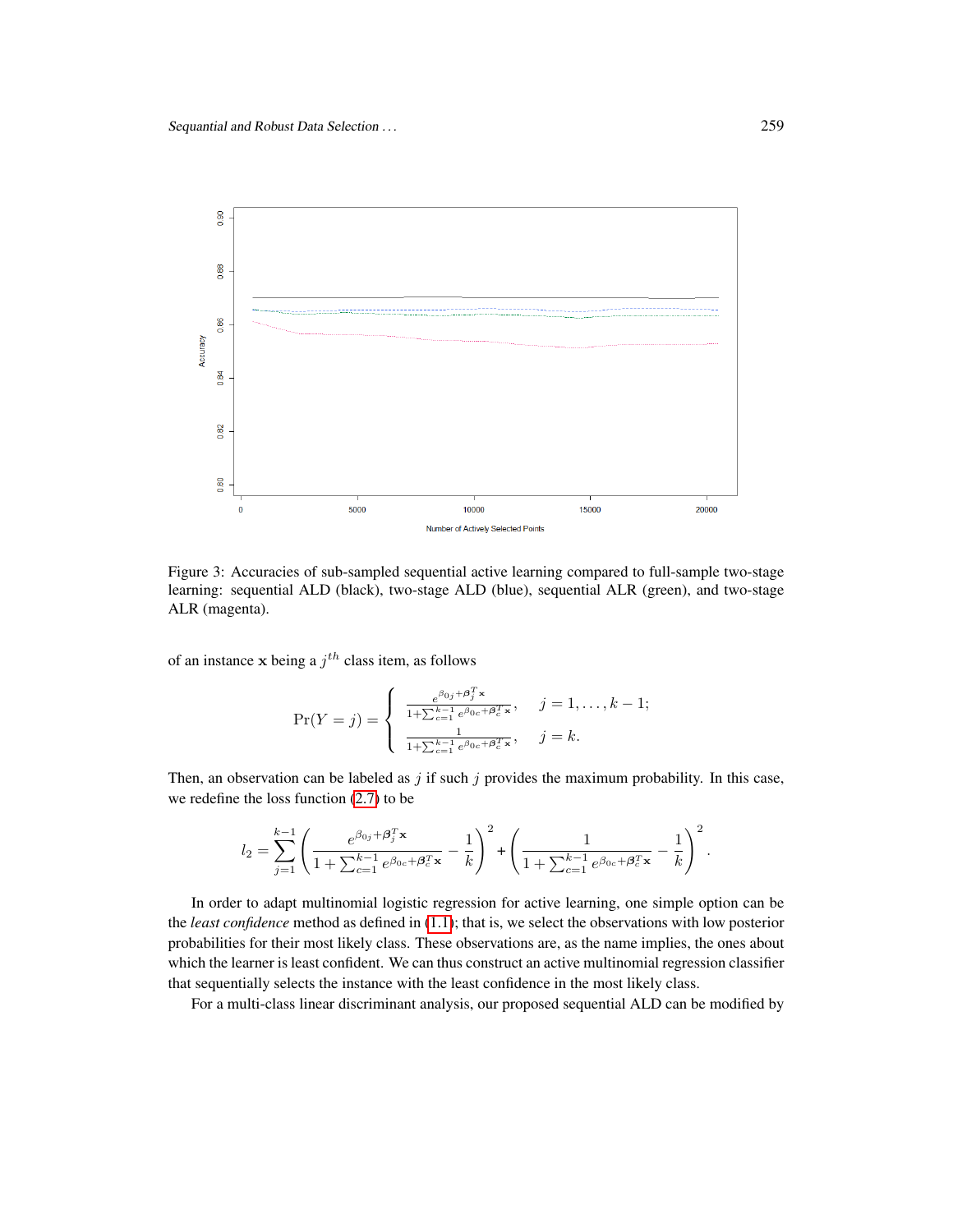

Figure 3: Accuracies of sub-sampled sequential active learning compared to full-sample two-stage learning: sequential ALD (black), two-stage ALD (blue), sequential ALR (green), and two-stage ALR (magenta).

of an instance x being a  $j<sup>th</sup>$  class item, as follows

$$
\Pr(Y = j) = \begin{cases} \frac{e^{\beta_{0j} + \beta_j^T \mathbf{x}}}{1 + \sum_{c=1}^{k-1} e^{\beta_{0c} + \beta_c^T \mathbf{x}}}, & j = 1, \dots, k-1; \\ \frac{1}{1 + \sum_{c=1}^{k-1} e^{\beta_{0c} + \beta_c^T \mathbf{x}}}, & j = k. \end{cases}
$$

Then, an observation can be labeled as  $j$  if such  $j$  provides the maximum probability. In this case, we redefine the loss function [\(2.7\)](#page-4-0) to be

$$
l_2 = \sum_{j=1}^{k-1} \left( \frac{e^{\beta_{0j} + \boldsymbol{\beta}_j^T \mathbf{x}}}{1 + \sum_{c=1}^{k-1} e^{\beta_{0c} + \boldsymbol{\beta}_c^T \mathbf{x}}} - \frac{1}{k} \right)^2 + \left( \frac{1}{1 + \sum_{c=1}^{k-1} e^{\beta_{0c} + \boldsymbol{\beta}_c^T \mathbf{x}}} - \frac{1}{k} \right)^2.
$$

In order to adapt multinomial logistic regression for active learning, one simple option can be the *least confidence* method as defined in [\(1.1\)](#page-1-0); that is, we select the observations with low posterior probabilities for their most likely class. These observations are, as the name implies, the ones about which the learner is least confident. We can thus construct an active multinomial regression classifier that sequentially selects the instance with the least confidence in the most likely class.

For a multi-class linear discriminant analysis, our proposed sequential ALD can be modified by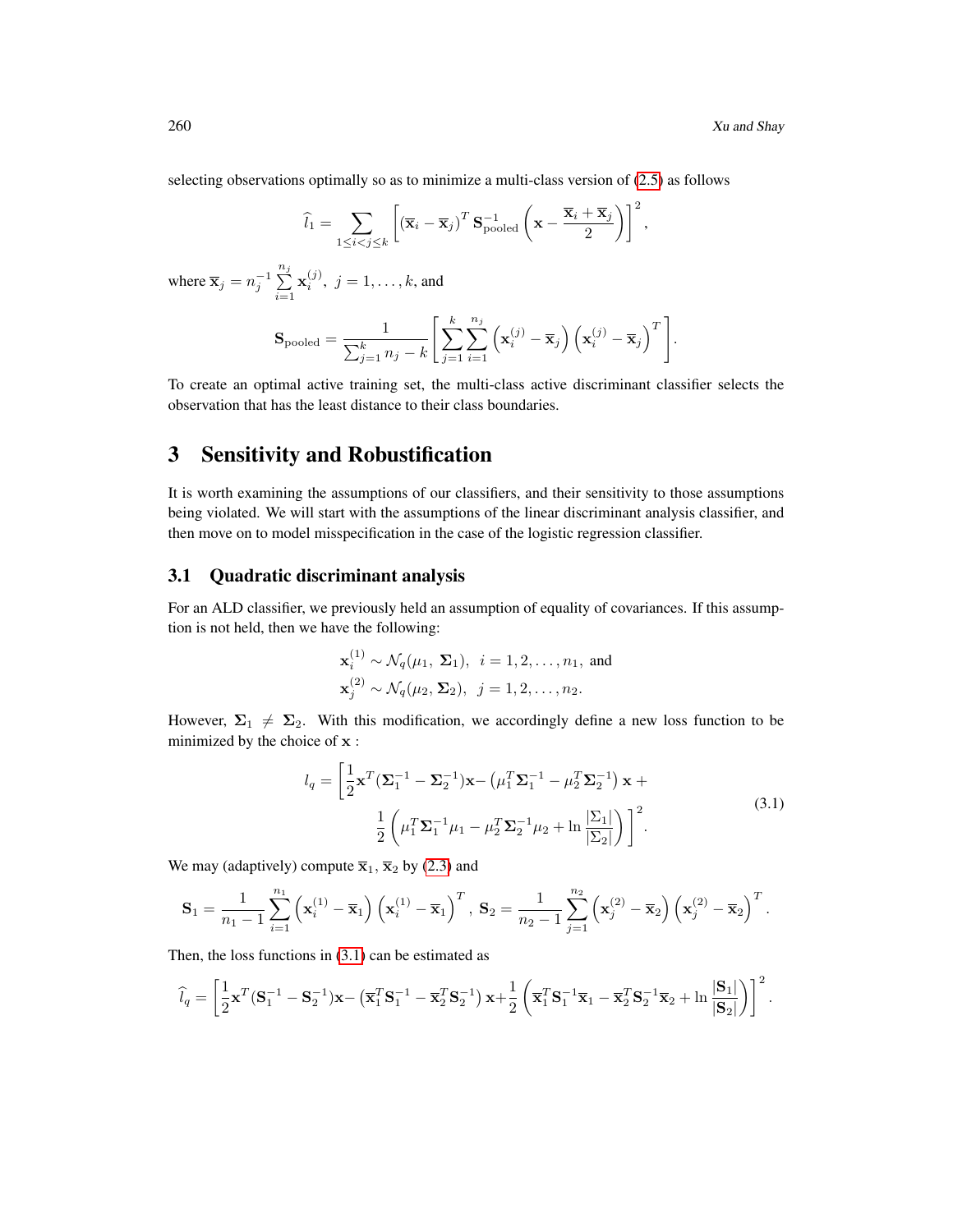selecting observations optimally so as to minimize a multi-class version of [\(2.5\)](#page-4-2) as follows

$$
\widehat{l}_1 = \sum_{1 \leq i < j \leq k} \left[ \left( \overline{\mathbf{x}}_i - \overline{\mathbf{x}}_j \right)^T \mathbf{S}_{\text{pooled}}^{-1} \left( \mathbf{x} - \frac{\overline{\mathbf{x}}_i + \overline{\mathbf{x}}_j}{2} \right) \right]^2,
$$

where  $\overline{\mathbf{x}}_j = n_j^{-1} \sum_{j=1}^{n_j}$  $i=1$  $\mathbf{x}_i^{(j)}$ ,  $j = 1, \ldots, k$ , and

$$
\mathbf{S}_{\text{pooled}} = \frac{1}{\sum_{j=1}^{k} n_j - k} \left[ \sum_{j=1}^{k} \sum_{i=1}^{n_j} \left( \mathbf{x}_i^{(j)} - \overline{\mathbf{x}}_j \right) \left( \mathbf{x}_i^{(j)} - \overline{\mathbf{x}}_j \right)^T \right].
$$

To create an optimal active training set, the multi-class active discriminant classifier selects the observation that has the least distance to their class boundaries.

# 3 Sensitivity and Robustification

It is worth examining the assumptions of our classifiers, and their sensitivity to those assumptions being violated. We will start with the assumptions of the linear discriminant analysis classifier, and then move on to model misspecification in the case of the logistic regression classifier.

### 3.1 Quadratic discriminant analysis

For an ALD classifier, we previously held an assumption of equality of covariances. If this assumption is not held, then we have the following:

$$
\mathbf{x}_i^{(1)} \sim \mathcal{N}_q(\mu_1, \Sigma_1), \quad i = 1, 2, \dots, n_1, \text{ and}
$$

$$
\mathbf{x}_j^{(2)} \sim \mathcal{N}_q(\mu_2, \Sigma_2), \quad j = 1, 2, \dots, n_2.
$$

However,  $\Sigma_1 \neq \Sigma_2$ . With this modification, we accordingly define a new loss function to be minimized by the choice of x :

$$
l_q = \left[\frac{1}{2}\mathbf{x}^T(\mathbf{\Sigma}_1^{-1} - \mathbf{\Sigma}_2^{-1})\mathbf{x} - (\mu_1^T\mathbf{\Sigma}_1^{-1} - \mu_2^T\mathbf{\Sigma}_2^{-1})\mathbf{x} + \frac{1}{2}\left(\mu_1^T\mathbf{\Sigma}_1^{-1}\mu_1 - \mu_2^T\mathbf{\Sigma}_2^{-1}\mu_2 + \ln\frac{|\Sigma_1|}{|\Sigma_2|}\right)\right]^2.
$$
\n(3.1)

<span id="page-11-0"></span>We may (adaptively) compute  $\overline{\mathbf{x}}_1$ ,  $\overline{\mathbf{x}}_2$  by [\(2.3\)](#page-4-3) and

$$
\mathbf{S}_1 = \frac{1}{n_1 - 1} \sum_{i=1}^{n_1} \left( \mathbf{x}_i^{(1)} - \overline{\mathbf{x}}_1 \right) \left( \mathbf{x}_i^{(1)} - \overline{\mathbf{x}}_1 \right)^T, \ \mathbf{S}_2 = \frac{1}{n_2 - 1} \sum_{j=1}^{n_2} \left( \mathbf{x}_j^{(2)} - \overline{\mathbf{x}}_2 \right) \left( \mathbf{x}_j^{(2)} - \overline{\mathbf{x}}_2 \right)^T.
$$

Then, the loss functions in  $(3.1)$  can be estimated as

$$
\widehat{l}_q = \left[\frac{1}{2}\mathbf{x}^T(\mathbf{S}_1^{-1} - \mathbf{S}_2^{-1})\mathbf{x} - \left(\overline{\mathbf{x}}_1^T\mathbf{S}_1^{-1} - \overline{\mathbf{x}}_2^T\mathbf{S}_2^{-1}\right)\mathbf{x} + \frac{1}{2}\left(\overline{\mathbf{x}}_1^T\mathbf{S}_1^{-1}\overline{\mathbf{x}}_1 - \overline{\mathbf{x}}_2^T\mathbf{S}_2^{-1}\overline{\mathbf{x}}_2 + \ln\frac{|\mathbf{S}_1|}{|\mathbf{S}_2|}\right)\right]^2.
$$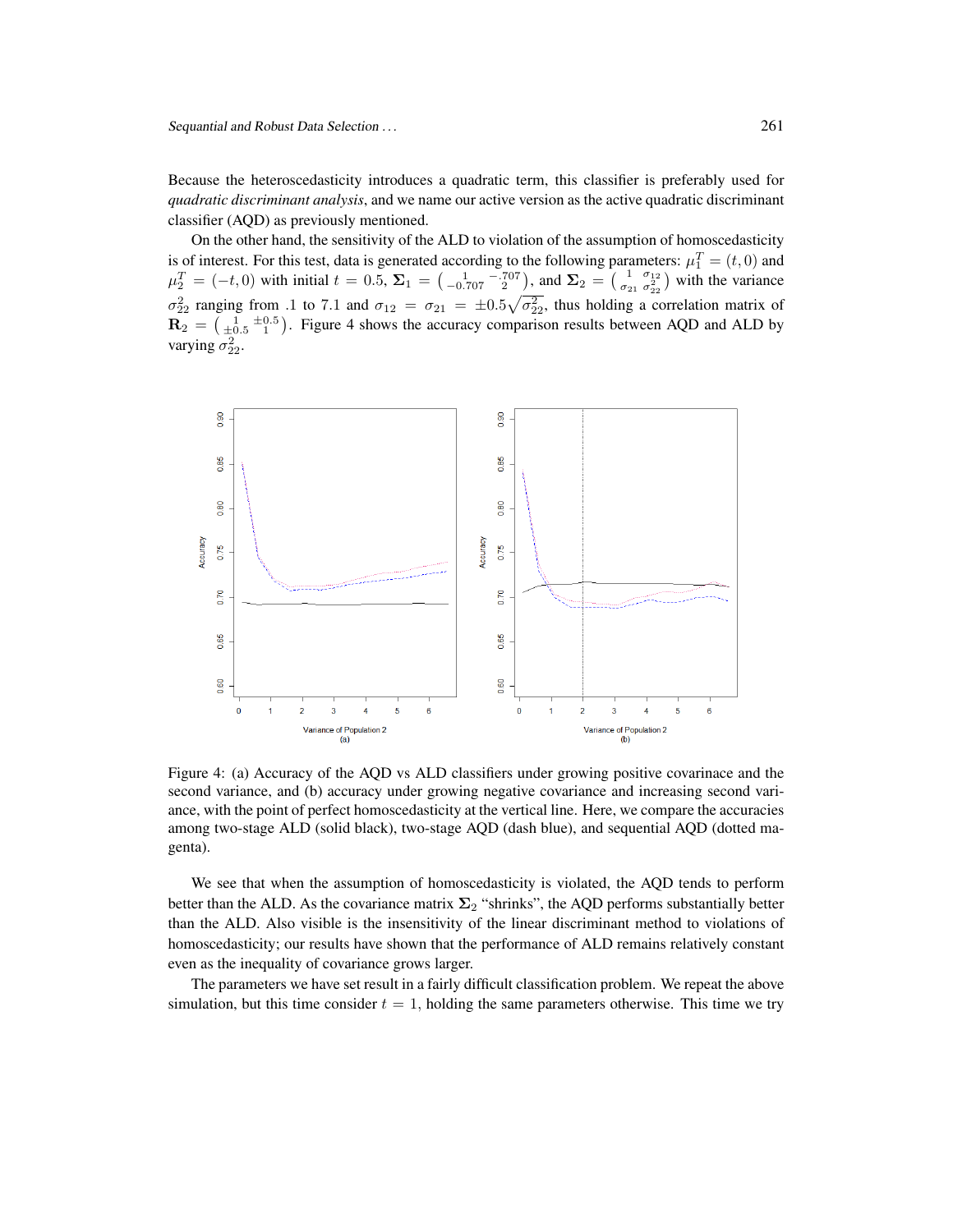Because the heteroscedasticity introduces a quadratic term, this classifier is preferably used for *quadratic discriminant analysis*, and we name our active version as the active quadratic discriminant classifier (AQD) as previously mentioned.

On the other hand, the sensitivity of the ALD to violation of the assumption of homoscedasticity is of interest. For this test, data is generated according to the following parameters:  $\mu_1^T = (t, 0)$  and  $\mu_2^T = (-t, 0)$  with initial  $t = 0.5$ ,  $\Sigma_1 = \begin{pmatrix} 1 & -707 \\ -0.707 & 2 \end{pmatrix}$ , and  $\Sigma_2 = \begin{pmatrix} 1 & \sigma_{12} \\ \sigma_{21} & \sigma_{22}^2 \end{pmatrix}$  with the variance  $\sigma_{22}^2$  ranging from .1 to 7.1 and  $\sigma_{12} = \sigma_{21} = \pm 0.5 \sqrt{\sigma_{22}^2}$ , thus holding a correlation matrix of  $\mathbf{R}_2 = \begin{pmatrix} 1 & \pm 0.5 \\ \pm 0.5 & 1 \end{pmatrix}$ . Figure 4 shows the accuracy comparison results between AQD and ALD by varying  $\sigma_{22}^2$ .



Figure 4: (a) Accuracy of the AQD vs ALD classifiers under growing positive covarinace and the second variance, and (b) accuracy under growing negative covariance and increasing second variance, with the point of perfect homoscedasticity at the vertical line. Here, we compare the accuracies among two-stage ALD (solid black), two-stage AQD (dash blue), and sequential AQD (dotted magenta).

We see that when the assumption of homoscedasticity is violated, the AQD tends to perform better than the ALD. As the covariance matrix  $\Sigma_2$  "shrinks", the AQD performs substantially better than the ALD. Also visible is the insensitivity of the linear discriminant method to violations of homoscedasticity; our results have shown that the performance of ALD remains relatively constant even as the inequality of covariance grows larger.

The parameters we have set result in a fairly difficult classification problem. We repeat the above simulation, but this time consider  $t = 1$ , holding the same parameters otherwise. This time we try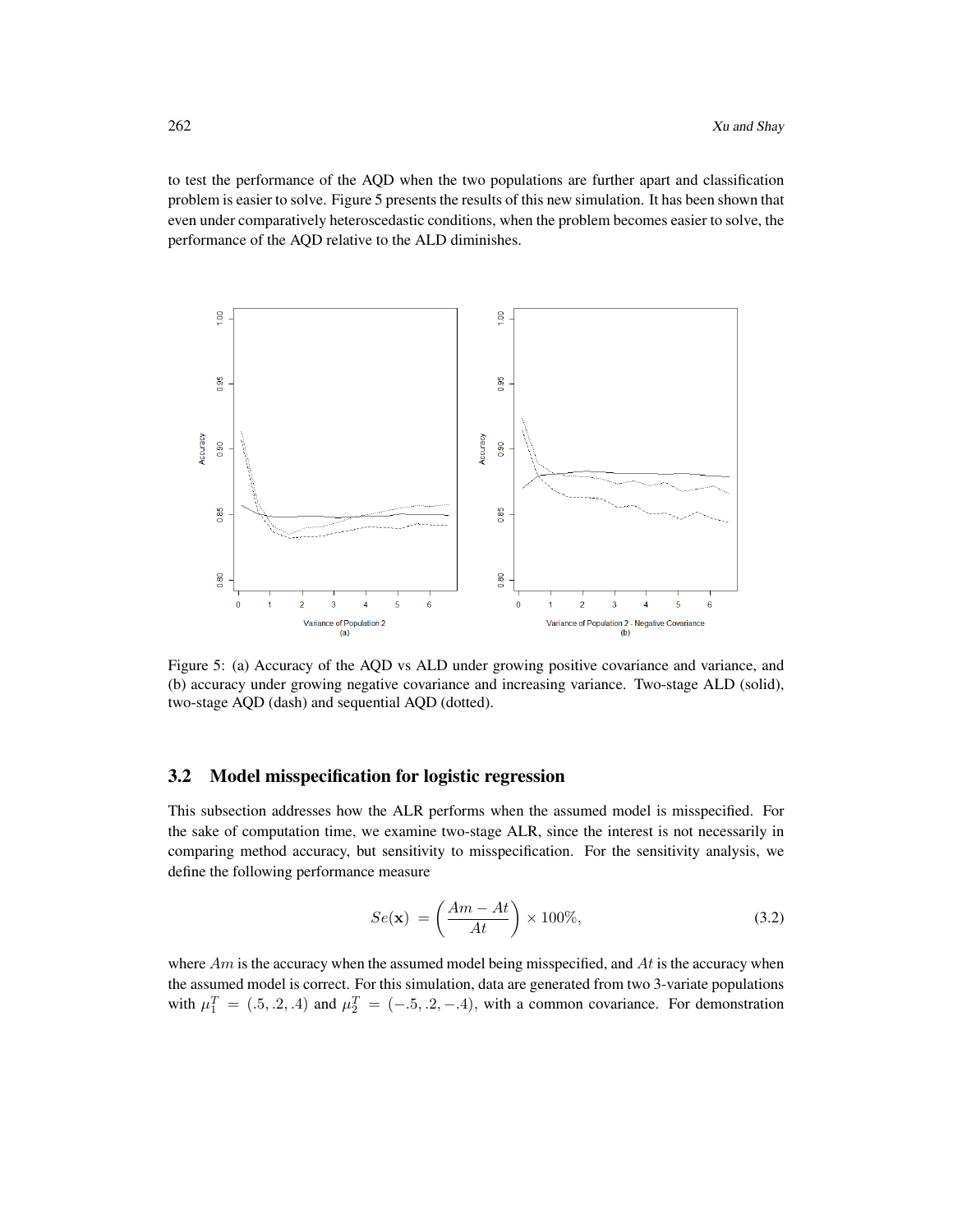to test the performance of the AQD when the two populations are further apart and classification problem is easier to solve. Figure 5 presents the results of this new simulation. It has been shown that even under comparatively heteroscedastic conditions, when the problem becomes easier to solve, the performance of the AQD relative to the ALD diminishes.



Figure 5: (a) Accuracy of the AQD vs ALD under growing positive covariance and variance, and (b) accuracy under growing negative covariance and increasing variance. Two-stage ALD (solid), two-stage AQD (dash) and sequential AQD (dotted).

#### 3.2 Model misspecification for logistic regression

This subsection addresses how the ALR performs when the assumed model is misspecified. For the sake of computation time, we examine two-stage ALR, since the interest is not necessarily in comparing method accuracy, but sensitivity to misspecification. For the sensitivity analysis, we define the following performance measure

<span id="page-13-0"></span>
$$
Se(\mathbf{x}) = \left(\frac{Am - At}{At}\right) \times 100\%,\tag{3.2}
$$

where  $Am$  is the accuracy when the assumed model being misspecified, and  $At$  is the accuracy when the assumed model is correct. For this simulation, data are generated from two 3-variate populations with  $\mu_1^T = (.5, .2, .4)$  and  $\mu_2^T = (-.5, .2, -.4)$ , with a common covariance. For demonstration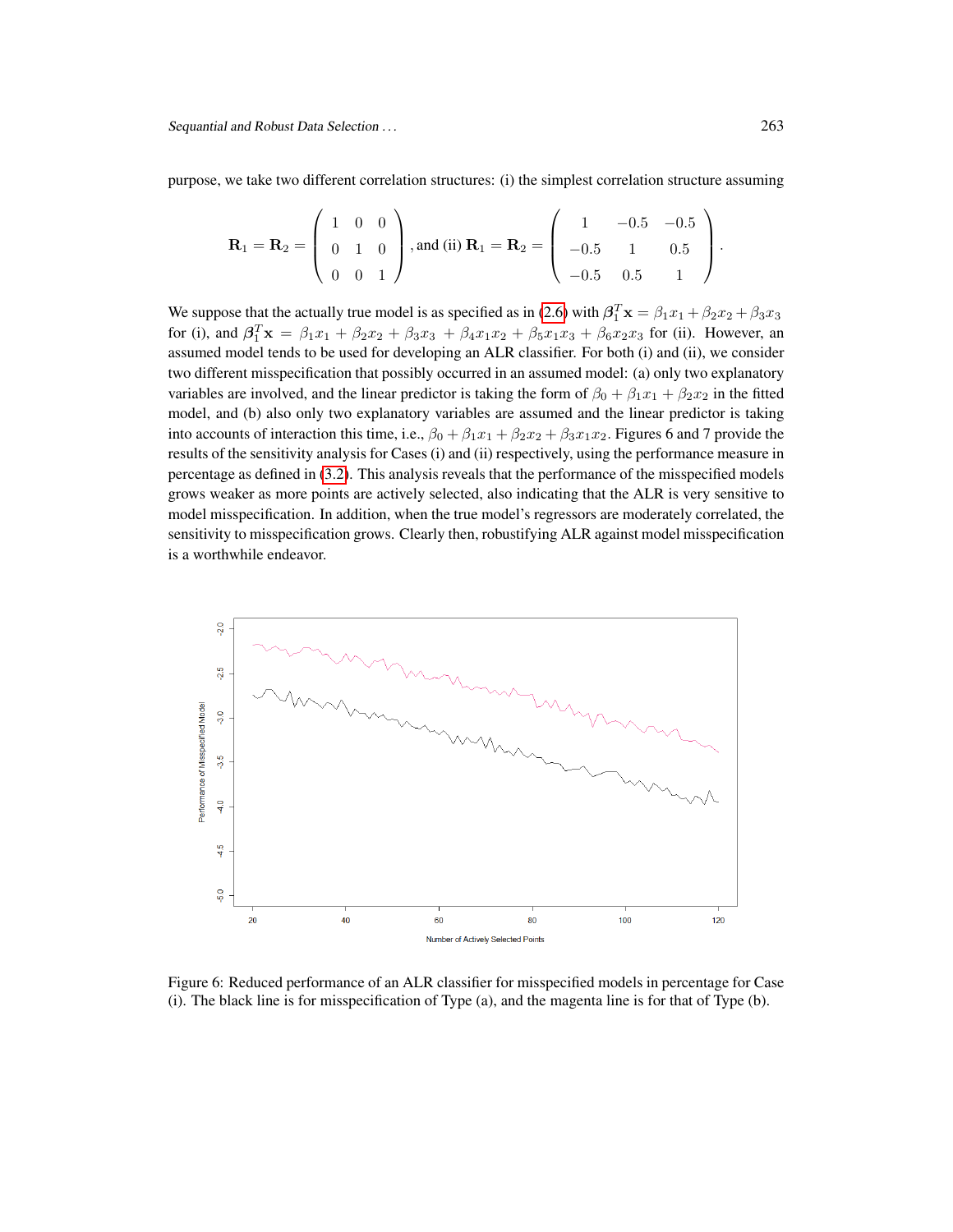purpose, we take two different correlation structures: (i) the simplest correlation structure assuming

$$
\mathbf{R}_1 = \mathbf{R}_2 = \left( \begin{array}{ccc} 1 & 0 & 0 \\ 0 & 1 & 0 \\ 0 & 0 & 1 \end{array} \right), \text{and (ii) } \mathbf{R}_1 = \mathbf{R}_2 = \left( \begin{array}{ccc} 1 & -0.5 & -0.5 \\ -0.5 & 1 & 0.5 \\ -0.5 & 0.5 & 1 \end{array} \right).
$$

We suppose that the actually true model is as specified as in [\(2.6\)](#page-4-4) with  $\beta_1^T \mathbf{x} = \beta_1 x_1 + \beta_2 x_2 + \beta_3 x_3$ for (i), and  $\beta_1^T \mathbf{x} = \beta_1 x_1 + \beta_2 x_2 + \beta_3 x_3 + \beta_4 x_1 x_2 + \beta_5 x_1 x_3 + \beta_6 x_2 x_3$  for (ii). However, an assumed model tends to be used for developing an ALR classifier. For both (i) and (ii), we consider two different misspecification that possibly occurred in an assumed model: (a) only two explanatory variables are involved, and the linear predictor is taking the form of  $\beta_0 + \beta_1 x_1 + \beta_2 x_2$  in the fitted model, and (b) also only two explanatory variables are assumed and the linear predictor is taking into accounts of interaction this time, i.e.,  $\beta_0 + \beta_1 x_1 + \beta_2 x_2 + \beta_3 x_1 x_2$ . Figures 6 and 7 provide the results of the sensitivity analysis for Cases (i) and (ii) respectively, using the performance measure in percentage as defined in [\(3.2\)](#page-13-0). This analysis reveals that the performance of the misspecified models grows weaker as more points are actively selected, also indicating that the ALR is very sensitive to model misspecification. In addition, when the true model's regressors are moderately correlated, the sensitivity to misspecification grows. Clearly then, robustifying ALR against model misspecification is a worthwhile endeavor.



Figure 6: Reduced performance of an ALR classifier for misspecified models in percentage for Case (i). The black line is for misspecification of Type (a), and the magenta line is for that of Type (b).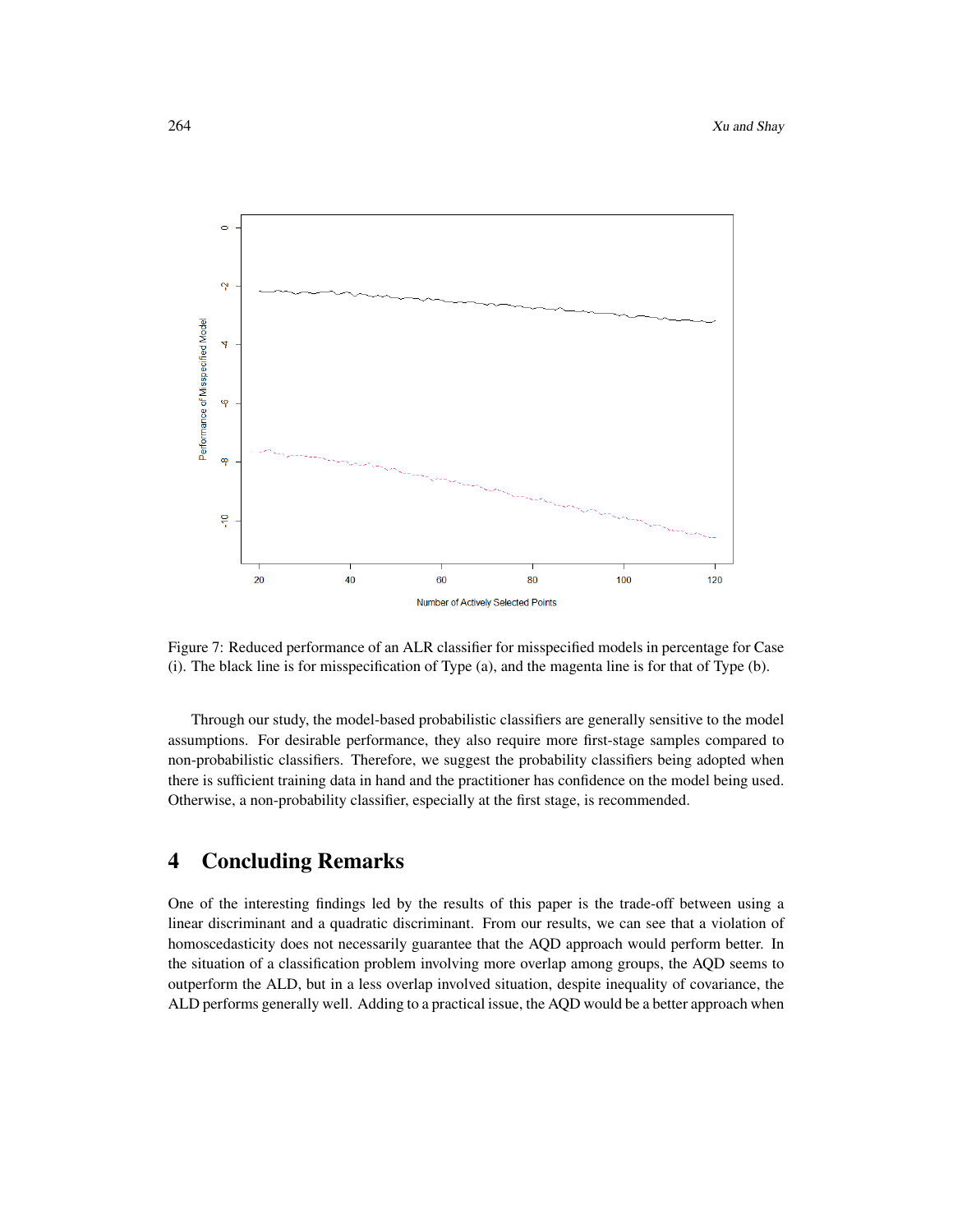

Figure 7: Reduced performance of an ALR classifier for misspecified models in percentage for Case (i). The black line is for misspecification of Type (a), and the magenta line is for that of Type (b).

Through our study, the model-based probabilistic classifiers are generally sensitive to the model assumptions. For desirable performance, they also require more first-stage samples compared to non-probabilistic classifiers. Therefore, we suggest the probability classifiers being adopted when there is sufficient training data in hand and the practitioner has confidence on the model being used. Otherwise, a non-probability classifier, especially at the first stage, is recommended.

# 4 Concluding Remarks

One of the interesting findings led by the results of this paper is the trade-off between using a linear discriminant and a quadratic discriminant. From our results, we can see that a violation of homoscedasticity does not necessarily guarantee that the AQD approach would perform better. In the situation of a classification problem involving more overlap among groups, the AQD seems to outperform the ALD, but in a less overlap involved situation, despite inequality of covariance, the ALD performs generally well. Adding to a practical issue, the AQD would be a better approach when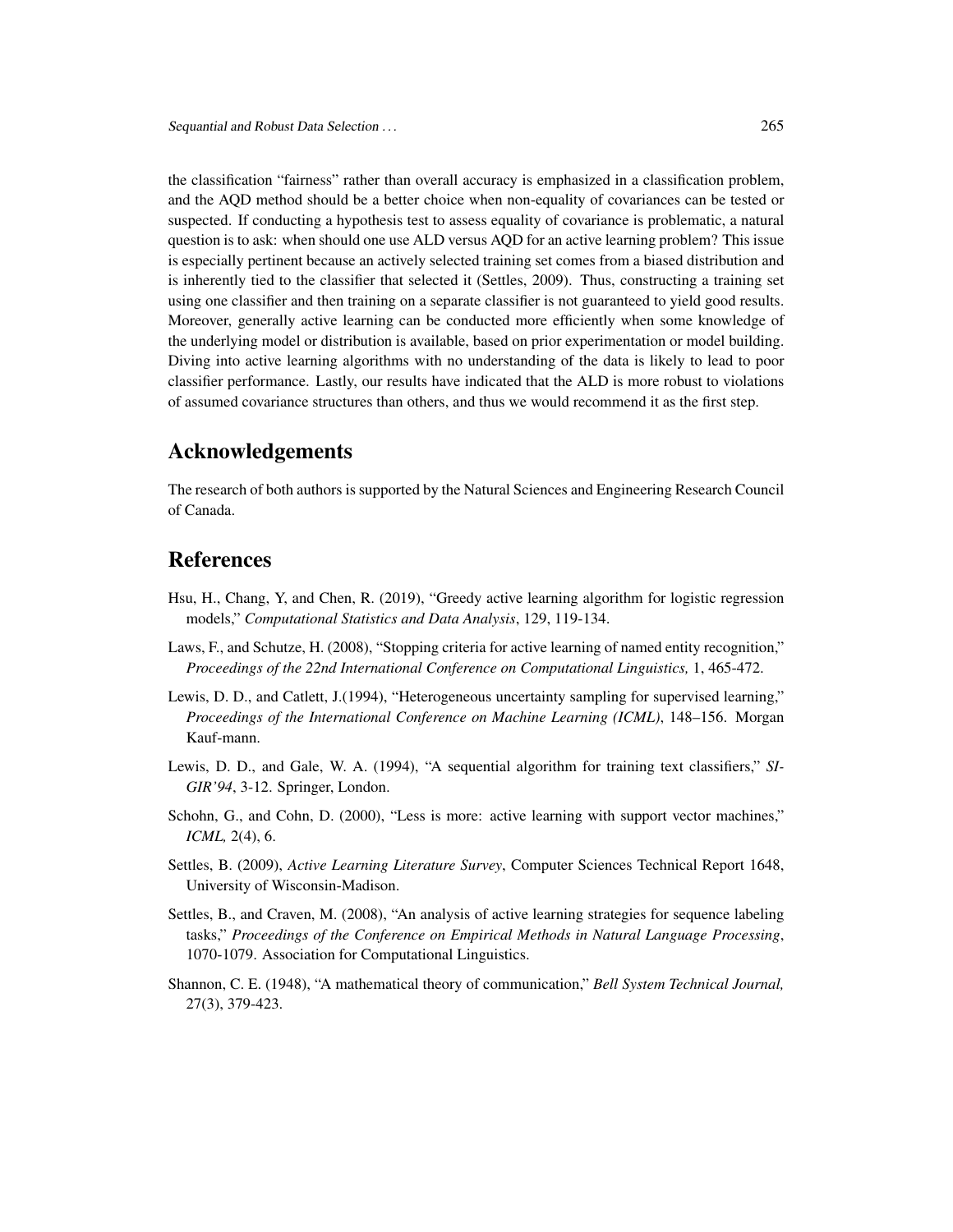the classification "fairness" rather than overall accuracy is emphasized in a classification problem, and the AQD method should be a better choice when non-equality of covariances can be tested or suspected. If conducting a hypothesis test to assess equality of covariance is problematic, a natural question is to ask: when should one use ALD versus AQD for an active learning problem? This issue is especially pertinent because an actively selected training set comes from a biased distribution and is inherently tied to the classifier that selected it (Settles, 2009). Thus, constructing a training set using one classifier and then training on a separate classifier is not guaranteed to yield good results. Moreover, generally active learning can be conducted more efficiently when some knowledge of the underlying model or distribution is available, based on prior experimentation or model building. Diving into active learning algorithms with no understanding of the data is likely to lead to poor classifier performance. Lastly, our results have indicated that the ALD is more robust to violations of assumed covariance structures than others, and thus we would recommend it as the first step.

### Acknowledgements

The research of both authors is supported by the Natural Sciences and Engineering Research Council of Canada.

### References

- Hsu, H., Chang, Y, and Chen, R. (2019), "Greedy active learning algorithm for logistic regression models," *Computational Statistics and Data Analysis*, 129, 119-134.
- Laws, F., and Schutze, H. (2008), "Stopping criteria for active learning of named entity recognition," *Proceedings of the 22nd International Conference on Computational Linguistics,* 1, 465-472.
- Lewis, D. D., and Catlett, J.(1994), "Heterogeneous uncertainty sampling for supervised learning," *Proceedings of the International Conference on Machine Learning (ICML)*, 148–156. Morgan Kauf-mann.
- Lewis, D. D., and Gale, W. A. (1994), "A sequential algorithm for training text classifiers," *SI-GIR'94*, 3-12. Springer, London.
- Schohn, G., and Cohn, D. (2000), "Less is more: active learning with support vector machines," *ICML,* 2(4), 6.
- Settles, B. (2009), *Active Learning Literature Survey*, Computer Sciences Technical Report 1648, University of Wisconsin-Madison.
- Settles, B., and Craven, M. (2008), "An analysis of active learning strategies for sequence labeling tasks," *Proceedings of the Conference on Empirical Methods in Natural Language Processing*, 1070-1079. Association for Computational Linguistics.
- Shannon, C. E. (1948), "A mathematical theory of communication," *Bell System Technical Journal,* 27(3), 379-423.